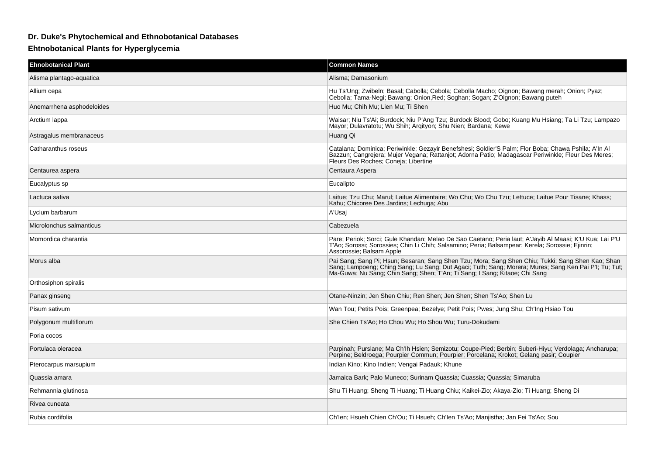## **Dr. Duke's Phytochemical and Ethnobotanical Databases**

## **Ehtnobotanical Plants for Hyperglycemia**

| <b>Ehnobotanical Plant</b> | <b>Common Names</b>                                                                                                                                                                                                                                |
|----------------------------|----------------------------------------------------------------------------------------------------------------------------------------------------------------------------------------------------------------------------------------------------|
| Alisma plantago-aquatica   | Alisma; Damasonium                                                                                                                                                                                                                                 |
| Allium cepa                | Hu Ts'Ung; Zwibeln; Basal; Cabolla; Cebola; Cebolla Macho; Oignon; Bawang merah; Onion; Pyaz;<br>Cebolla; Tama-Negi; Bawang; Onion, Red; Soghan; Sogan; Z'Oignon; Bawang puteh                                                                     |
| Anemarrhena asphodeloides  | Huo Mu; Chih Mu; Lien Mu; Ti Shen                                                                                                                                                                                                                  |
| Arctium lappa              | Waisar; Niu Ts'Ai; Burdock; Niu P'Ang Tzu; Burdock Blood; Gobo; Kuang Mu Hsiang; Ta Li Tzu; Lampazo<br>Mayor; Dulavratotu; Wu Shih; Arqityon; Shu Nien; Bardana; Kewe                                                                              |
| Astragalus membranaceus    | Huang Qi                                                                                                                                                                                                                                           |
| Catharanthus roseus        | Catalana; Dominica; Periwinkle; Gezavir Benefshesi; Soldier'S Palm; Flor Boba; Chawa Pshila; A'ln Al<br>Bazzun; Cangrejera; Mujer Vegana; Rattanjot; Adorna Patio; Madagascar Periwinkle; Fleur Des Meres;<br>Fleurs Des Roches; Coneja; Libertine |
| Centaurea aspera           | Centaura Aspera                                                                                                                                                                                                                                    |
| Eucalyptus sp              | Eucalipto                                                                                                                                                                                                                                          |
| Lactuca sativa             | Laitue; Tzu Chu; Marul; Laitue Alimentaire; Wo Chu; Wo Chu Tzu; Lettuce; Laitue Pour Tisane; Khass;<br>Kahu; Chicoree Des Jardins; Lechuga; Abu                                                                                                    |
| Lycium barbarum            | A'Usaj                                                                                                                                                                                                                                             |
| Microlonchus salmanticus   | Cabezuela                                                                                                                                                                                                                                          |
| Momordica charantia        | Pare; Periok; Sorci; Gule Khandan; Melao De Sao Caetano; Peria laut; A'Jayib Al Maasi; K'U Kua; Lai P'U<br>T'Ao; Sorossi; Sorossies; Chin Li Chih; Salsamino; Peria; Balsampear; Kerela; Sorossie; Ejinrin;<br>Assorossie; Balsam Apple            |
| Morus alba                 | Pai Sang; Sang Pi; Hsun; Besaran; Sang Shen Tzu; Mora; Sang Shen Chiu; Tukki; Sang Shen Kao; Shan<br>Sang; Lampoeng; Ching Sang; Lu Sang; Dut Agaci; Tuth; Sang; Morera; Mures; Sang Ken Pai P'I; Tu; Tut;<br>Ma-Guwa; Nu Sang; Chin               |
| Orthosiphon spiralis       |                                                                                                                                                                                                                                                    |
| Panax ginseng              | Otane-Ninzin; Jen Shen Chiu; Ren Shen; Jen Shen; Shen Ts'Ao; Shen Lu                                                                                                                                                                               |
| Pisum sativum              | Wan Tou: Petits Pois: Greenpea: Bezelye: Petit Pois: Pwes: Jung Shu: Ch'Ing Hsiao Tou                                                                                                                                                              |
| Polygonum multiflorum      | She Chien Ts'Ao; Ho Chou Wu; Ho Shou Wu; Turu-Dokudami                                                                                                                                                                                             |
| Poria cocos                |                                                                                                                                                                                                                                                    |
| Portulaca oleracea         | Parpinah; Purslane; Ma Ch'lh Hsien; Semizotu; Coupe-Pied; Berbin; Suberi-Hiyu; Verdolaga; Ancharupa;<br>Perpine; Beldroega; Pourpier Commun; Pourpier; Porcelana; Krokot; Gelang pasir; Coupier                                                    |
| Pterocarpus marsupium      | Indian Kino; Kino Indien; Vengai Padauk; Khune                                                                                                                                                                                                     |
| Quassia amara              | Jamaica Bark; Palo Muneco; Surinam Quassia; Cuassia; Quassia; Simaruba                                                                                                                                                                             |
| Rehmannia glutinosa        | Shu Ti Huang; Sheng Ti Huang; Ti Huang Chiu; Kaikei-Zio; Akaya-Zio; Ti Huang; Sheng Di                                                                                                                                                             |
| Rivea cuneata              |                                                                                                                                                                                                                                                    |
| Rubia cordifolia           | Ch'len; Hsueh Chien Ch'Ou; Ti Hsueh; Ch'len Ts'Ao; Manjistha; Jan Fei Ts'Ao; Sou                                                                                                                                                                   |